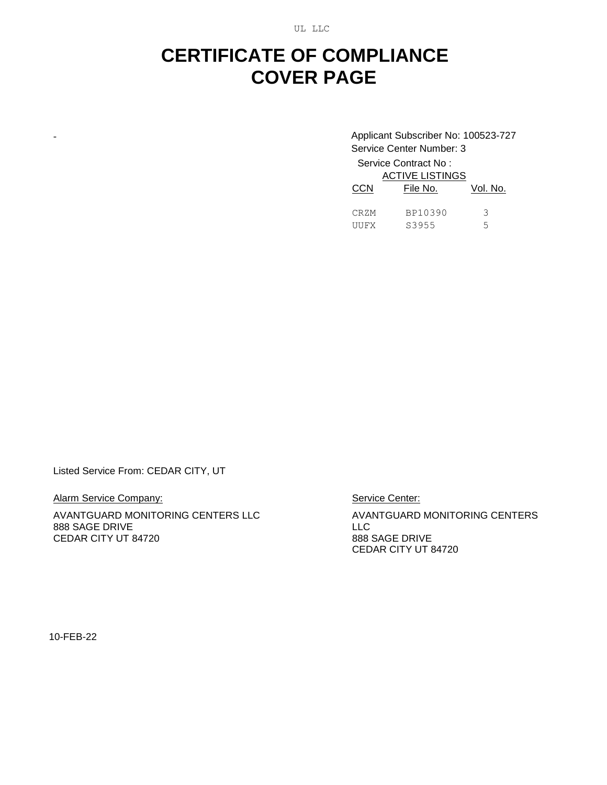UL LLC

## **CERTIFICATE OF COMPLIANCE COVER PAGE**

- Applicant Subscriber No: 100523-727 Service Center Number: 3

> Service Contract No : ACTIVE LISTINGS

| <b>CCN</b> | AUTIVE LIƏTINGƏ<br>File No. | Vol. No. |
|------------|-----------------------------|----------|
| CRZM       | BP10390                     | २        |
| UUFX       | S3955                       | ↳        |

Listed Service From: CEDAR CITY, UT

Alarm Service Company:

AVANTGUARD MONITORING CENTERS LLC 888 SAGE DRIVE CEDAR CITY UT 84720

Service Center:

AVANTGUARD MONITORING CENTERS LLC 888 SAGE DRIVE CEDAR CITY UT 84720

10-FEB-22